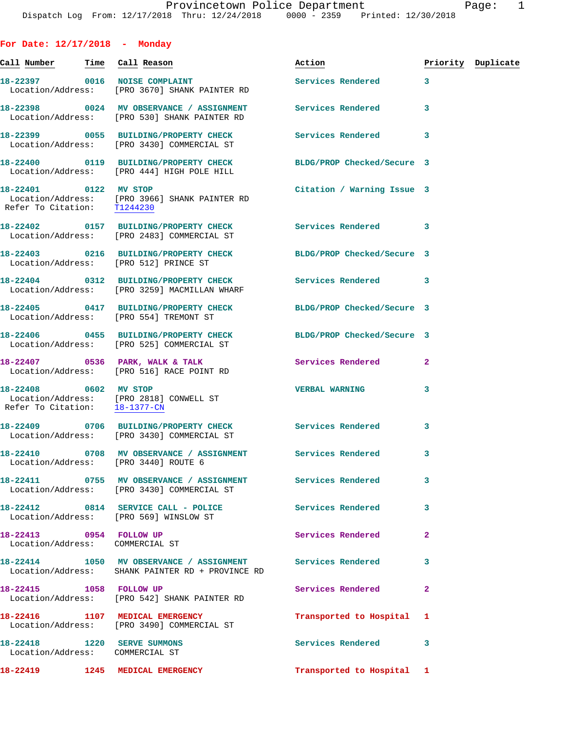| For Date: $12/17/2018$ - Monday                                |                                                                                                                |                            |                |                    |
|----------------------------------------------------------------|----------------------------------------------------------------------------------------------------------------|----------------------------|----------------|--------------------|
|                                                                |                                                                                                                | Action                     |                | Priority Duplicate |
|                                                                | 18-22397 0016 NOISE COMPLAINT<br>Location/Address: [PRO 3670] SHANK PAINTER RD                                 | Services Rendered 3        |                |                    |
|                                                                | 18-22398 0024 MV OBSERVANCE / ASSIGNMENT Services Rendered<br>Location/Address: [PRO 530] SHANK PAINTER RD     |                            | 3              |                    |
|                                                                | 18-22399 0055 BUILDING/PROPERTY CHECK<br>Location/Address: [PRO 3430] COMMERCIAL ST                            | Services Rendered 3        |                |                    |
|                                                                | 18-22400 0119 BUILDING/PROPERTY CHECK BLDG/PROP Checked/Secure 3<br>Location/Address: [PRO 444] HIGH POLE HILL |                            |                |                    |
| 18-22401 0122 MV STOP                                          | Location/Address: [PRO 3966] SHANK PAINTER RD<br>Refer To Citation: T1244230                                   | Citation / Warning Issue 3 |                |                    |
|                                                                | 18-22402 0157 BUILDING/PROPERTY CHECK Services Rendered 3<br>Location/Address: [PRO 2483] COMMERCIAL ST        |                            |                |                    |
|                                                                | 18-22403 0216 BUILDING/PROPERTY CHECK BLDG/PROP Checked/Secure 3<br>Location/Address: [PRO 512] PRINCE ST      |                            |                |                    |
|                                                                | 18-22404 0312 BUILDING/PROPERTY CHECK Services Rendered 3<br>Location/Address: [PRO 3259] MACMILLAN WHARF      |                            |                |                    |
|                                                                | 18-22405 0417 BUILDING/PROPERTY CHECK BLDG/PROP Checked/Secure 3<br>Location/Address: [PRO 554] TREMONT ST     |                            |                |                    |
|                                                                | 18-22406 0455 BUILDING/PROPERTY CHECK<br>Location/Address: [PRO 525] COMMERCIAL ST                             | BLDG/PROP Checked/Secure 3 |                |                    |
|                                                                | 18-22407 0536 PARK, WALK & TALK<br>Location/Address: [PRO 516] RACE POINT RD                                   | <b>Services Rendered</b>   | $\overline{a}$ |                    |
| 18-22408 0602 MV STOP                                          | Location/Address: [PRO 2818] CONWELL ST<br>Refer To Citation: 18-1377-CN                                       | <b>VERBAL WARNING</b>      | 3              |                    |
|                                                                | 18-22409 0706 BUILDING/PROPERTY CHECK Services Rendered 3<br>Location/Address: [PRO 3430] COMMERCIAL ST        |                            |                |                    |
|                                                                | 18-22410 0708 MV OBSERVANCE / ASSIGNMENT Services Rendered 3<br>Location/Address: [PRO 3440] ROUTE 6           |                            |                |                    |
|                                                                | Location/Address: [PRO 3430] COMMERCIAL ST                                                                     |                            | 3              |                    |
|                                                                | 18-22412 0814 SERVICE CALL - POLICE<br>Location/Address: [PRO 569] WINSLOW ST                                  | Services Rendered          | 3              |                    |
| 18-22413 0954 FOLLOW UP<br>Location/Address: COMMERCIAL ST     |                                                                                                                | Services Rendered          | $\overline{a}$ |                    |
|                                                                | 18-22414 1050 MV OBSERVANCE / ASSIGNMENT Services Rendered<br>Location/Address: SHANK PAINTER RD + PROVINCE RD |                            | 3              |                    |
|                                                                | 18-22415    1058    FOLLOW UP<br>Location/Address: [PRO 542] SHANK PAINTER RD                                  | Services Rendered          | $\mathbf{2}$   |                    |
|                                                                | 18-22416 1107 MEDICAL EMERGENCY<br>Location/Address: [PRO 3490] COMMERCIAL ST                                  | Transported to Hospital 1  |                |                    |
| 18-22418 1220 SERVE SUMMONS<br>Location/Address: COMMERCIAL ST |                                                                                                                | <b>Services Rendered</b>   | 3              |                    |
|                                                                | 18-22419 1245 MEDICAL EMERGENCY                                                                                | Transported to Hospital 1  |                |                    |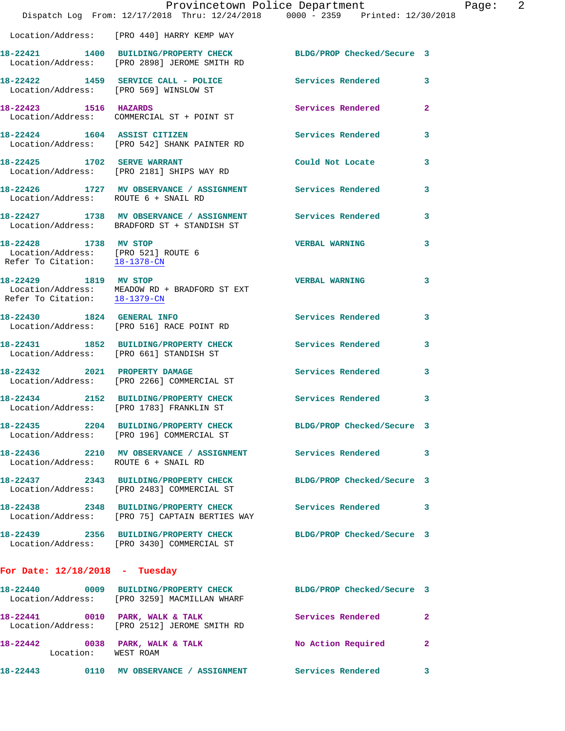|                                                                                               | Provincetown Police Department<br>Dispatch Log From: 12/17/2018 Thru: 12/24/2018 0000 - 2359 Printed: 12/30/2018 |                          | Page: 2                 |
|-----------------------------------------------------------------------------------------------|------------------------------------------------------------------------------------------------------------------|--------------------------|-------------------------|
|                                                                                               | Location/Address: [PRO 440] HARRY KEMP WAY                                                                       |                          |                         |
|                                                                                               | 18-22421 1400 BUILDING/PROPERTY CHECK BLDG/PROP Checked/Secure 3<br>Location/Address: [PRO 2898] JEROME SMITH RD |                          |                         |
|                                                                                               | 18-22422 1459 SERVICE CALL - POLICE<br>Location/Address: [PRO 569] WINSLOW ST                                    | Services Rendered 3      |                         |
| 18-22423 1516 HAZARDS                                                                         | Location/Address: COMMERCIAL ST + POINT ST                                                                       | Services Rendered 2      |                         |
|                                                                                               | 18-22424 1604 ASSIST CITIZEN<br>Location/Address: [PRO 542] SHANK PAINTER RD                                     | Services Rendered        | 3                       |
| 18-22425 1702 SERVE WARRANT                                                                   | Location/Address: [PRO 2181] SHIPS WAY RD                                                                        | Could Not Locate         | $\mathbf{3}$            |
|                                                                                               | 18-22426 1727 MV OBSERVANCE / ASSIGNMENT Services Rendered<br>Location/Address: ROUTE 6 + SNAIL RD               |                          | $\overline{\mathbf{3}}$ |
|                                                                                               | 18-22427 1738 MV OBSERVANCE / ASSIGNMENT Services Rendered<br>Location/Address: BRADFORD ST + STANDISH ST        |                          | 3                       |
| 18-22428 1738 MV STOP<br>Location/Address: [PRO 521] ROUTE 6<br>Refer To Citation: 18-1378-CN |                                                                                                                  | <b>VERBAL WARNING</b>    | 3                       |
| 18-22429 1819 MV STOP                                                                         | Location/Address: MEADOW RD + BRADFORD ST EXT<br>Refer To Citation: $\frac{18-1379-\text{CN}}{}$                 | <b>VERBAL WARNING</b>    | 3                       |
| 18-22430 1824 GENERAL INFO                                                                    | Location/Address: [PRO 516] RACE POINT RD                                                                        | Services Rendered        | $\mathbf{3}$            |
|                                                                                               | 18-22431 1852 BUILDING/PROPERTY CHECK<br>Location/Address: [PRO 661] STANDISH ST                                 | <b>Services Rendered</b> | 3                       |
|                                                                                               | 18-22432 2021 PROPERTY DAMAGE<br>Location/Address: [PRO 2266] COMMERCIAL ST                                      | <b>Services Rendered</b> | 3                       |
|                                                                                               | 18-22434 2152 BUILDING/PROPERTY CHECK Services Rendered<br>Location/Address: [PRO 1783] FRANKLIN ST              |                          | 3                       |
|                                                                                               | 18-22435 2204 BUILDING/PROPERTY CHECK BLDG/PROP Checked/Secure 3<br>Location/Address: [PRO 196] COMMERCIAL ST    |                          |                         |
| Location/Address: ROUTE 6 + SNAIL RD                                                          | 18-22436 2210 MV OBSERVANCE / ASSIGNMENT Services Rendered                                                       |                          | $\overline{\mathbf{3}}$ |
|                                                                                               | 18-22437 2343 BUILDING/PROPERTY CHECK BLDG/PROP Checked/Secure 3<br>Location/Address: [PRO 2483] COMMERCIAL ST   |                          |                         |
|                                                                                               | 18-22438 2348 BUILDING/PROPERTY CHECK Services Rendered 3<br>Location/Address: [PRO 75] CAPTAIN BERTIES WAY      |                          |                         |
|                                                                                               | 18-22439 2356 BUILDING/PROPERTY CHECK BLDG/PROP Checked/Secure 3<br>Location/Address: [PRO 3430] COMMERCIAL ST   |                          |                         |
| For Date: $12/18/2018$ - Tuesday                                                              |                                                                                                                  |                          |                         |
|                                                                                               | 18-22440 0009 BUILDING/PROPERTY CHECK BLDG/PROP Checked/Secure 3<br>Location/Address: [PRO 3259] MACMILLAN WHARF |                          |                         |
|                                                                                               | 18-22441 0010 PARK, WALK & TALK<br>Location/Address: [PRO 2512] JEROME SMITH RD                                  | Services Rendered        | -2                      |
| Location: WEST ROAM                                                                           | 18-22442 0038 PARK, WALK & TALK No Action Required                                                               |                          | $\mathbf{2}$            |
|                                                                                               | 18-22443   0110 MV OBSERVANCE / ASSIGNMENT   Services Rendered                                                   |                          | 3                       |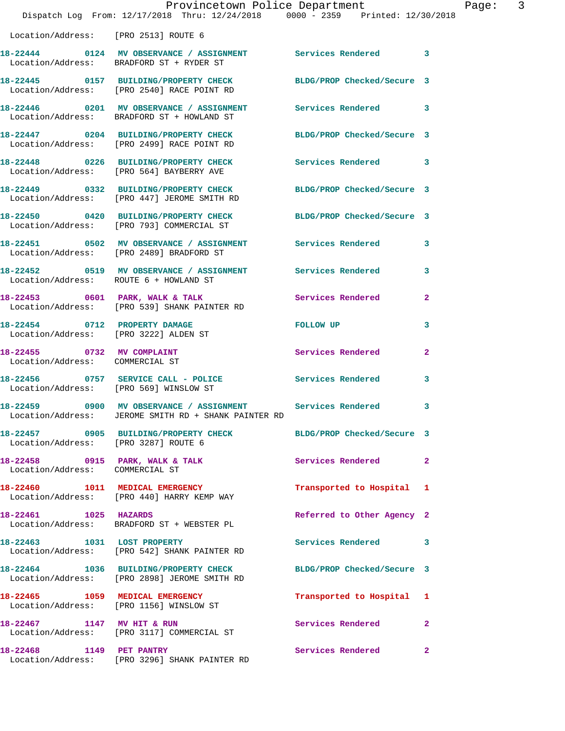|                                                               | Dispatch Log From: 12/17/2018 Thru: 12/24/2018 0000 - 2359 Printed: 12/30/2018                                     | Provincetown Police Department | Page: 3      |
|---------------------------------------------------------------|--------------------------------------------------------------------------------------------------------------------|--------------------------------|--------------|
| Location/Address: [PRO 2513] ROUTE 6                          |                                                                                                                    |                                |              |
|                                                               | 18-22444 0124 MV OBSERVANCE / ASSIGNMENT Services Rendered 3<br>Location/Address: BRADFORD ST + RYDER ST           |                                |              |
|                                                               | 18-22445 0157 BUILDING/PROPERTY CHECK BLDG/PROP Checked/Secure 3<br>Location/Address: [PRO 2540] RACE POINT RD     |                                |              |
|                                                               | 18-22446 0201 MV OBSERVANCE / ASSIGNMENT Services Rendered 3<br>Location/Address: BRADFORD ST + HOWLAND ST         |                                |              |
|                                                               | 18-22447 0204 BUILDING/PROPERTY CHECK BLDG/PROP Checked/Secure 3<br>Location/Address: [PRO 2499] RACE POINT RD     |                                |              |
|                                                               | 18-22448 0226 BUILDING/PROPERTY CHECK Services Rendered 3<br>Location/Address: [PRO 564] BAYBERRY AVE              |                                |              |
|                                                               | 18-22449 0332 BUILDING/PROPERTY CHECK BLDG/PROP Checked/Secure 3<br>Location/Address: [PRO 447] JEROME SMITH RD    |                                |              |
|                                                               | 18-22450 0420 BUILDING/PROPERTY CHECK BLDG/PROP Checked/Secure 3<br>Location/Address: [PRO 793] COMMERCIAL ST      |                                |              |
|                                                               | 18-22451 0502 MV OBSERVANCE / ASSIGNMENT Services Rendered 3<br>Location/Address: [PRO 2489] BRADFORD ST           |                                |              |
| Location/Address: ROUTE 6 + HOWLAND ST                        | 18-22452 0519 MV OBSERVANCE / ASSIGNMENT Services Rendered 3                                                       |                                |              |
|                                                               | 18-22453 0601 PARK, WALK & TALK 3 Services Rendered 2<br>Location/Address: [PRO 539] SHANK PAINTER RD              |                                |              |
|                                                               | 18-22454 0712 PROPERTY DAMAGE<br>Location/Address: [PRO 3222] ALDEN ST                                             | FOLLOW UP                      | 3            |
| 18-22455 0732 MV COMPLAINT<br>Location/Address: COMMERCIAL ST |                                                                                                                    | Services Rendered              | $\mathbf{2}$ |
| Location/Address: [PRO 569] WINSLOW ST                        | 18-22456 0757 SERVICE CALL - POLICE Services Rendered 3                                                            |                                |              |
|                                                               | 18-22459 0900 MV OBSERVANCE / ASSIGNMENT Services Rendered<br>Location/Address: JEROME SMITH RD + SHANK PAINTER RD |                                |              |
| Location/Address: [PRO 3287] ROUTE 6                          | 18-22457 0905 BUILDING/PROPERTY CHECK BLDG/PROP Checked/Secure 3                                                   |                                |              |
| Location/Address: COMMERCIAL ST                               | 18-22458 0915 PARK, WALK & TALK                                                                                    | Services Rendered 2            |              |
|                                                               | 18-22460 1011 MEDICAL EMERGENCY<br>Location/Address: [PRO 440] HARRY KEMP WAY                                      | Transported to Hospital 1      |              |
| 18-22461 1025 HAZARDS                                         | Location/Address: BRADFORD ST + WEBSTER PL                                                                         | Referred to Other Agency 2     |              |
|                                                               | 18-22463 1031 LOST PROPERTY<br>Location/Address: [PRO 542] SHANK PAINTER RD                                        | Services Rendered 3            |              |
|                                                               | 18-22464 1036 BUILDING/PROPERTY CHECK<br>Location/Address: [PRO 2898] JEROME SMITH RD                              | BLDG/PROP Checked/Secure 3     |              |
|                                                               | 18-22465 1059 MEDICAL EMERGENCY<br>Location/Address: [PRO 1156] WINSLOW ST                                         | Transported to Hospital 1      |              |
| 18-22467 1147 MV HIT & RUN                                    | Location/Address: [PRO 3117] COMMERCIAL ST                                                                         | Services Rendered 2            |              |
|                                                               | 18-22468 1149 PET PANTRY<br>Location/Address: [PRO 3296] SHANK PAINTER RD                                          | Services Rendered 2            |              |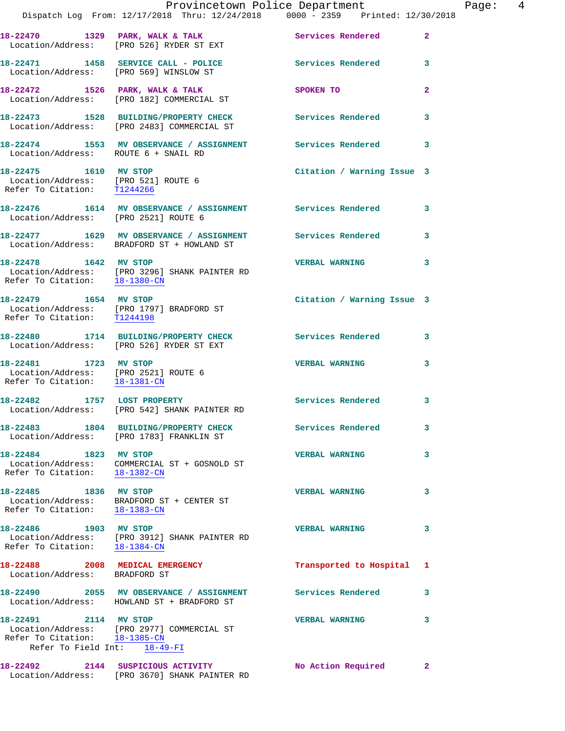|                                                                                                | Provincetown Police Department<br>Dispatch Log From: 12/17/2018 Thru: 12/24/2018 0000 - 2359 Printed: 12/30/2018 |                            |                |
|------------------------------------------------------------------------------------------------|------------------------------------------------------------------------------------------------------------------|----------------------------|----------------|
|                                                                                                | 18-22470 1329 PARK, WALK & TALK<br>Location/Address: [PRO 526] RYDER ST EXT                                      | Services Rendered          | $\overline{a}$ |
| Location/Address: [PRO 569] WINSLOW ST                                                         | 18-22471 1458 SERVICE CALL - POLICE                                                                              | <b>Services Rendered</b>   | 3              |
|                                                                                                | 18-22472 1526 PARK, WALK & TALK<br>Location/Address: [PRO 182] COMMERCIAL ST                                     | SPOKEN TO                  | $\overline{a}$ |
|                                                                                                | 18-22473 1528 BUILDING/PROPERTY CHECK Services Rendered<br>Location/Address: [PRO 2483] COMMERCIAL ST            |                            | 3              |
| Location/Address: ROUTE 6 + SNAIL RD                                                           | 18-22474 1553 MV OBSERVANCE / ASSIGNMENT Services Rendered                                                       |                            | 3              |
| 18-22475 1610 MV STOP<br>Location/Address: [PRO 521] ROUTE 6<br>Refer To Citation: T1244266    |                                                                                                                  | Citation / Warning Issue 3 |                |
| Location/Address: [PRO 2521] ROUTE 6                                                           | 18-22476 1614 MV OBSERVANCE / ASSIGNMENT Services Rendered                                                       |                            | 3              |
|                                                                                                | 18-22477 1629 MV OBSERVANCE / ASSIGNMENT Services Rendered<br>Location/Address: BRADFORD ST + HOWLAND ST         |                            | 3              |
| 18-22478 1642 MV STOP                                                                          | Location/Address: [PRO 3296] SHANK PAINTER RD<br>Refer To Citation: $18-1380$ -CN                                | <b>VERBAL WARNING</b>      | 3              |
|                                                                                                | 18-22479 1654 MV STOP<br>Location/Address: [PRO 1797] BRADFORD ST<br>Refer To Citation: T1244198                 | Citation / Warning Issue 3 |                |
|                                                                                                | 18-22480 1714 BUILDING/PROPERTY CHECK<br>Location/Address: [PRO 526] RYDER ST EXT                                | Services Rendered          | 3              |
| 18-22481 1723 MV STOP<br>Location/Address: [PRO 2521] ROUTE 6<br>Refer To Citation: 18-1381-CN |                                                                                                                  | <b>VERBAL WARNING</b>      | 3              |
|                                                                                                | 18-22482 1757 LOST PROPERTY<br>Location/Address: [PRO 542] SHANK PAINTER RD                                      | <b>Services Rendered</b>   | 3              |
|                                                                                                | 18-22483 1804 BUILDING/PROPERTY CHECK<br>Location/Address: [PRO 1783] FRANKLIN ST                                | <b>Services Rendered</b>   | 3              |
| 18-22484 1823 MV STOP<br>Refer To Citation: 18-1382-CN                                         | Location/Address: COMMERCIAL ST + GOSNOLD ST                                                                     | <b>VERBAL WARNING</b>      | 3              |
| 18-22485 1836 MV STOP<br>Refer To Citation: 18-1383-CN                                         | Location/Address: BRADFORD ST + CENTER ST                                                                        | <b>VERBAL WARNING</b>      | 3              |
| 18-22486 1903 MV STOP                                                                          | Location/Address: [PRO 3912] SHANK PAINTER RD<br>Refer To Citation: 18-1384-CN                                   | <b>VERBAL WARNING</b>      | 3              |
| 18-22488<br>Location/Address: BRADFORD ST                                                      | 2008 MEDICAL EMERGENCY                                                                                           | Transported to Hospital    | 1              |
|                                                                                                | 18-22490 2055 MV OBSERVANCE / ASSIGNMENT<br>Location/Address: HOWLAND ST + BRADFORD ST                           | Services Rendered          | 3              |
| 18-22491 2114 MV STOP<br>Refer To Citation: 18-1385-CN<br>Refer To Field Int: 18-49-FI         | Location/Address: [PRO 2977] COMMERCIAL ST                                                                       | <b>VERBAL WARNING</b>      | 3              |
|                                                                                                |                                                                                                                  |                            |                |

**18-22492 2144 SUSPICIOUS ACTIVITY No Action Required 2** 

Location/Address: [PRO 3670] SHANK PAINTER RD

Page: 4<br>18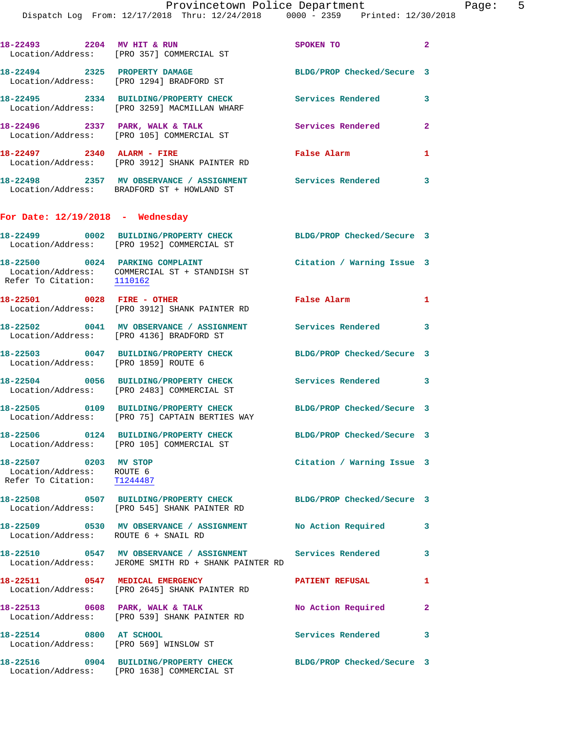**18-22496 2337 PARK, WALK & TALK Services Rendered 2**  Location/Address: [PRO 105] COMMERCIAL ST **18-22497 2340 ALARM - FIRE False Alarm 1**  Location/Address: [PRO 3912] SHANK PAINTER RD

**18-22498 2357 MV OBSERVANCE / ASSIGNMENT Services Rendered 3**  Location/Address: BRADFORD ST + HOWLAND ST

## **For Date: 12/19/2018 - Wednesday**

|                                                                                   | 18-22499 0002 BUILDING/PROPERTY CHECK<br>Location/Address: [PRO 1952] COMMERCIAL ST                                | BLDG/PROP Checked/Secure 3 |                         |
|-----------------------------------------------------------------------------------|--------------------------------------------------------------------------------------------------------------------|----------------------------|-------------------------|
| 18-22500 0024 PARKING COMPLAINT                                                   | Location/Address: COMMERCIAL ST + STANDISH ST<br>Refer To Citation: 1110162                                        | Citation / Warning Issue 3 |                         |
| 18-22501 0028 FIRE - OTHER                                                        | Location/Address: [PRO 3912] SHANK PAINTER RD                                                                      | False Alarm                | $\mathbf{1}$            |
|                                                                                   | 18-22502 0041 MV OBSERVANCE / ASSIGNMENT<br>Location/Address: [PRO 4136] BRADFORD ST                               | Services Rendered 3        |                         |
| Location/Address: [PRO 1859] ROUTE 6                                              | 18-22503 0047 BUILDING/PROPERTY CHECK                                                                              | BLDG/PROP Checked/Secure 3 |                         |
|                                                                                   | 18-22504 0056 BUILDING/PROPERTY CHECK<br>Location/Address: [PRO 2483] COMMERCIAL ST                                | Services Rendered 3        |                         |
|                                                                                   | 18-22505 0109 BUILDING/PROPERTY CHECK<br>Location/Address: [PRO 75] CAPTAIN BERTIES WAY                            | BLDG/PROP Checked/Secure 3 |                         |
|                                                                                   | 18-22506 0124 BUILDING/PROPERTY CHECK BLDG/PROP Checked/Secure 3<br>Location/Address: [PRO 105] COMMERCIAL ST      |                            |                         |
| 18-22507 0203 MV STOP<br>Location/Address: ROUTE 6<br>Refer To Citation: T1244487 |                                                                                                                    | Citation / Warning Issue 3 |                         |
|                                                                                   | 18-22508 0507 BUILDING/PROPERTY CHECK BLDG/PROP Checked/Secure 3<br>Location/Address: [PRO 545] SHANK PAINTER RD   |                            |                         |
| Location/Address: ROUTE 6 + SNAIL RD                                              | 18-22509 0530 MV OBSERVANCE / ASSIGNMENT No Action Required                                                        |                            | 3                       |
|                                                                                   | 18-22510 0547 MV OBSERVANCE / ASSIGNMENT Services Rendered<br>Location/Address: JEROME SMITH RD + SHANK PAINTER RD |                            | 3                       |
| 18-22511 0547 MEDICAL EMERGENCY                                                   | Location/Address: [PRO 2645] SHANK PAINTER RD                                                                      | <b>PATIENT REFUSAL</b>     | $\mathbf{1}$            |
|                                                                                   | 18-22513 0608 PARK, WALK & TALK<br>Location/Address: [PRO 539] SHANK PAINTER RD                                    | No Action Required 2       |                         |
| 18-22514 0800 AT SCHOOL<br>Location/Address: [PRO 569] WINSLOW ST                 |                                                                                                                    | Services Rendered          | $\overline{\mathbf{3}}$ |
|                                                                                   | 18-22516 0904 BUILDING/PROPERTY CHECK<br>Location/Address: [PRO 1638] COMMERCIAL ST                                | BLDG/PROP Checked/Secure 3 |                         |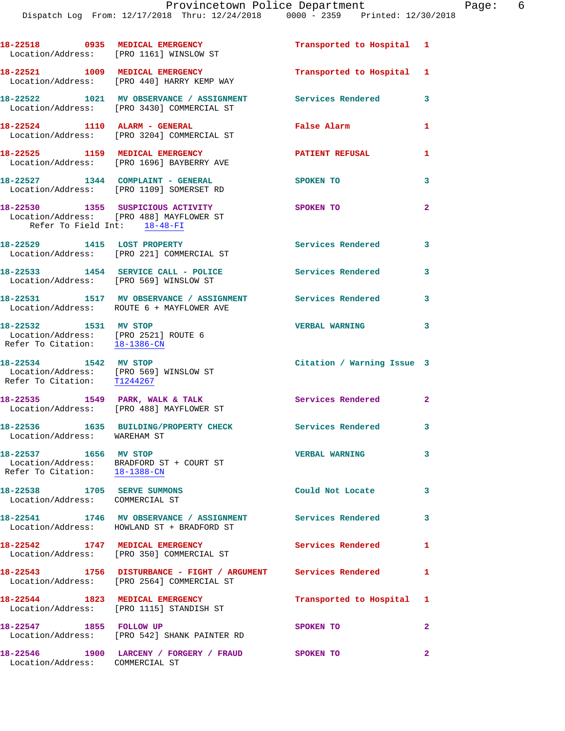|                                                                                                | 18-22518 0935 MEDICAL EMERGENCY<br>Location/Address: [PRO 1161] WINSLOW ST                                   | Transported to Hospital 1   |                |
|------------------------------------------------------------------------------------------------|--------------------------------------------------------------------------------------------------------------|-----------------------------|----------------|
|                                                                                                | 18-22521 1009 MEDICAL EMERGENCY<br>Location/Address: [PRO 440] HARRY KEMP WAY                                | Transported to Hospital 1   |                |
|                                                                                                | 18-22522 1021 MV OBSERVANCE / ASSIGNMENT<br>Location/Address: [PRO 3430] COMMERCIAL ST                       | Services Rendered           | 3              |
|                                                                                                | 18-22524 1110 ALARM - GENERAL<br>Location/Address: [PRO 3204] COMMERCIAL ST                                  | False Alarm                 | $\mathbf{1}$   |
|                                                                                                | 18-22525 1159 MEDICAL EMERGENCY<br>Location/Address: [PRO 1696] BAYBERRY AVE                                 | <b>PATIENT REFUSAL</b>      | 1              |
|                                                                                                | 18-22527 1344 COMPLAINT - GENERAL<br>Location/Address: [PRO 1109] SOMERSET RD                                | SPOKEN TO                   | 3              |
| Refer To Field Int: 18-48-FI                                                                   | 18-22530 1355 SUSPICIOUS ACTIVITY<br>Location/Address: [PRO 488] MAYFLOWER ST                                | SPOKEN TO                   | $\overline{2}$ |
|                                                                                                | 18-22529 1415 LOST PROPERTY<br>Location/Address: [PRO 221] COMMERCIAL ST                                     | Services Rendered           | 3              |
| Location/Address: [PRO 569] WINSLOW ST                                                         | 18-22533 1454 SERVICE CALL - POLICE                                                                          | <b>Services Rendered</b>    | 3              |
|                                                                                                | 18-22531 1517 MV OBSERVANCE / ASSIGNMENT Services Rendered<br>Location/Address: ROUTE 6 + MAYFLOWER AVE      |                             | 3              |
| 18-22532 1531 MV STOP<br>Location/Address: [PRO 2521] ROUTE 6<br>Refer To Citation: 18-1386-CN |                                                                                                              | <b>VERBAL WARNING</b>       | 3              |
| 18-22534 1542 MV STOP<br>Location/Address: [PRO 569] WINSLOW ST<br>Refer To Citation: T1244267 |                                                                                                              | Citation / Warning Issue 3  |                |
|                                                                                                | 18-22535 1549 PARK, WALK & TALK<br>Location/Address: [PRO 488] MAYFLOWER ST                                  | <b>Services Rendered 22</b> |                |
| Location/Address: WAREHAM ST                                                                   | 18-22536 1635 BUILDING/PROPERTY CHECK                                                                        | Services Rendered           | 3              |
| 18-22537 1656 MV STOP<br>Refer To Citation: 18-1388-CN                                         | Location/Address: BRADFORD ST + COURT ST                                                                     | <b>VERBAL WARNING</b>       | 3              |
| 18-22538 1705 SERVE SUMMONS<br>Location/Address: COMMERCIAL ST                                 |                                                                                                              | Could Not Locate            | $\mathbf{3}$   |
|                                                                                                | 18-22541 1746 MV OBSERVANCE / ASSIGNMENT Services Rendered<br>Location/Address: HOWLAND ST + BRADFORD ST     |                             | 3              |
|                                                                                                | 18-22542 1747 MEDICAL EMERGENCY<br>Location/Address: [PRO 350] COMMERCIAL ST                                 | Services Rendered 1         |                |
|                                                                                                | 18-22543 1756 DISTURBANCE - FIGHT / ARGUMENT Services Rendered<br>Location/Address: [PRO 2564] COMMERCIAL ST |                             | 1              |
|                                                                                                | 18-22544 1823 MEDICAL EMERGENCY<br>Location/Address: [PRO 1115] STANDISH ST                                  | Transported to Hospital 1   |                |
| 18-22547 1855 FOLLOW UP                                                                        | Location/Address: [PRO 542] SHANK PAINTER RD                                                                 | SPOKEN TO                   | $\mathbf{2}$   |
| Location/Address: COMMERCIAL ST                                                                | 18-22546 1900 LARCENY / FORGERY / FRAUD SPOKEN TO                                                            |                             | $\mathbf{2}$   |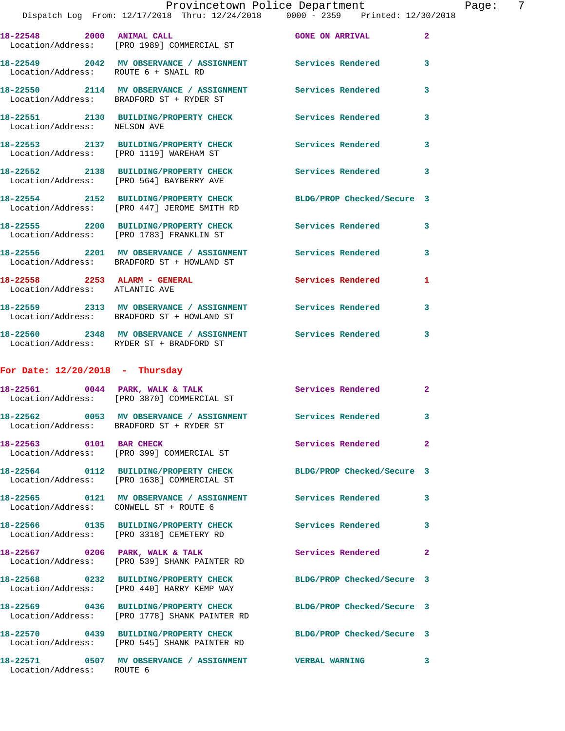|                                                                 | Provincetown Police Department<br>Dispatch Log From: 12/17/2018 Thru: 12/24/2018 0000 - 2359 Printed: 12/30/2018 |                            |                |
|-----------------------------------------------------------------|------------------------------------------------------------------------------------------------------------------|----------------------------|----------------|
|                                                                 | 18-22548 2000 ANIMAL CALL 30 CONE ON ARRIVAL<br>Location/Address: [PRO 1989] COMMERCIAL ST                       |                            | $\mathbf{2}$   |
| Location/Address: ROUTE 6 + SNAIL RD                            | 18-22549 2042 MV OBSERVANCE / ASSIGNMENT Services Rendered                                                       |                            | 3              |
|                                                                 | 18-22550 2114 MV OBSERVANCE / ASSIGNMENT Services Rendered<br>Location/Address: BRADFORD ST + RYDER ST           |                            | 3              |
| Location/Address: NELSON AVE                                    | 18-22551 2130 BUILDING/PROPERTY CHECK Services Rendered                                                          |                            | 3              |
|                                                                 | 18-22553 2137 BUILDING/PROPERTY CHECK Services Rendered<br>Location/Address: [PRO 1119] WAREHAM ST               |                            | 3              |
|                                                                 | 18-22552 2138 BUILDING/PROPERTY CHECK Services Rendered<br>Location/Address: [PRO 564] BAYBERRY AVE              |                            | 3              |
|                                                                 | 18-22554 2152 BUILDING/PROPERTY CHECK<br>Location/Address: [PRO 447] JEROME SMITH RD                             | BLDG/PROP Checked/Secure 3 |                |
|                                                                 | 18-22555 2200 BUILDING/PROPERTY CHECK Services Rendered<br>Location/Address: [PRO 1783] FRANKLIN ST              |                            | 3              |
|                                                                 | 18-22556 2201 MV OBSERVANCE / ASSIGNMENT Services Rendered<br>Location/Address: BRADFORD ST + HOWLAND ST         |                            | 3              |
| 18-22558 2253 ALARM - GENERAL<br>Location/Address: ATLANTIC AVE |                                                                                                                  | <b>Services Rendered</b>   | 1              |
|                                                                 | 18-22559 2313 MV OBSERVANCE / ASSIGNMENT Services Rendered<br>Location/Address: BRADFORD ST + HOWLAND ST         |                            | 3              |
|                                                                 | 18-22560 2348 MV OBSERVANCE / ASSIGNMENT Services Rendered<br>Location/Address: RYDER ST + BRADFORD ST           |                            | 3              |
| For Date: $12/20/2018$ - Thursday                               |                                                                                                                  |                            |                |
|                                                                 | 18-22561 0044 PARK, WALK & TALK<br>Location/Address: [PRO 3870] COMMERCIAL ST                                    | Services Rendered          | $\mathbf{2}$   |
|                                                                 | 18-22562 0053 MV OBSERVANCE / ASSIGNMENT<br>Location/Address: BRADFORD ST + RYDER ST                             | Services Rendered          | 3              |
| 18-22563 0101 BAR CHECK                                         | Location/Address: [PRO 399] COMMERCIAL ST                                                                        | Services Rendered          | $\overline{a}$ |
|                                                                 | 18-22564 0112 BUILDING/PROPERTY CHECK<br>Location/Address: [PRO 1638] COMMERCIAL ST                              | BLDG/PROP Checked/Secure 3 |                |
| Location/Address: CONWELL ST + ROUTE 6                          | 18-22565 0121 MV OBSERVANCE / ASSIGNMENT Services Rendered                                                       |                            | 3              |
|                                                                 | 18-22566 0135 BUILDING/PROPERTY CHECK<br>Location/Address: [PRO 3318] CEMETERY RD                                | <b>Services Rendered</b>   | 3              |
|                                                                 | 18-22567 0206 PARK, WALK & TALK<br>Location/Address: [PRO 539] SHANK PAINTER RD                                  | Services Rendered          | 2              |
|                                                                 | 18-22568 0232 BUILDING/PROPERTY CHECK<br>Location/Address: [PRO 440] HARRY KEMP WAY                              | BLDG/PROP Checked/Secure 3 |                |
|                                                                 | 18-22569 0436 BUILDING/PROPERTY CHECK<br>Location/Address: [PRO 1778] SHANK PAINTER RD                           | BLDG/PROP Checked/Secure 3 |                |
|                                                                 | 18-22570 0439 BUILDING/PROPERTY CHECK<br>Location/Address: [PRO 545] SHANK PAINTER RD                            | BLDG/PROP Checked/Secure 3 |                |
|                                                                 | 18-22571 0507 MV OBSERVANCE / ASSIGNMENT                                                                         | <b>VERBAL WARNING</b>      | 3              |

Location/Address: ROUTE 6

Page: 7<br>018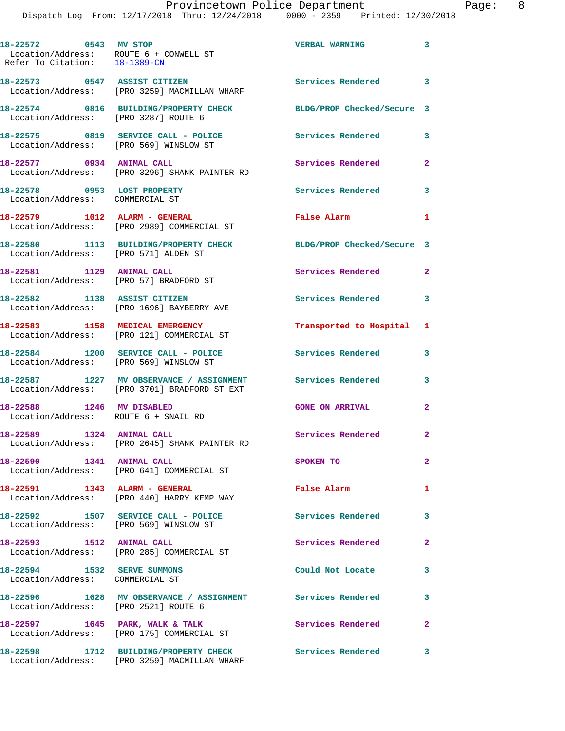**18-22572 0543 MV STOP VERBAL WARNING 3**  Location/Address: ROUTE 6 + CONWELL ST Refer To Citation: 18-1389-CN **18-22573 0547 ASSIST CITIZEN Services Rendered 3**  Location/Address: [PRO 3259] MACMILLAN WHARF **18-22574 0816 BUILDING/PROPERTY CHECK BLDG/PROP Checked/Secure 3**  Location/Address: [PRO 3287] ROUTE 6 18-22575 0819 SERVICE CALL - POLICE 3 Services Rendered 3 Location/Address: [PRO 569] WINSLOW ST **18-22577 0934 ANIMAL CALL Services Rendered 2**  Location/Address: [PRO 3296] SHANK PAINTER RD 18-22578 0953 LOST PROPERTY **18-22578** Services Rendered 3 Location/Address: COMMERCIAL ST **18-22579 1012 ALARM - GENERAL False Alarm 1**  Location/Address: [PRO 2989] COMMERCIAL ST **18-22580 1113 BUILDING/PROPERTY CHECK BLDG/PROP Checked/Secure 3**  Location/Address: [PRO 571] ALDEN ST **18-22581 1129 ANIMAL CALL Services Rendered 2**  Location/Address: [PRO 57] BRADFORD ST **18-22582 1138 ASSIST CITIZEN Services Rendered 3**  Location/Address: [PRO 1696] BAYBERRY AVE **18-22583 1158 MEDICAL EMERGENCY Transported to Hospital 1**  Location/Address: [PRO 121] COMMERCIAL ST **18-22584 1200 SERVICE CALL - POLICE Services Rendered 3**  Location/Address: [PRO 569] WINSLOW ST **18-22587 1227 MV OBSERVANCE / ASSIGNMENT Services Rendered 3**  Location/Address: [PRO 3701] BRADFORD ST EXT **18-22588 1246 MV DISABLED GONE ON ARRIVAL 2**  Location/Address: ROUTE 6 + SNAIL RD 18-22589 1324 ANIMAL CALL Services Rendered 2 Location/Address: [PRO 2645] SHANK PAINTER RD **18-22590 1341 ANIMAL CALL SPOKEN TO 2**  Location/Address: [PRO 641] COMMERCIAL ST **18-22591 1343 ALARM - GENERAL False Alarm 1**  Location/Address: [PRO 440] HARRY KEMP WAY **18-22592 1507 SERVICE CALL - POLICE Services Rendered 3**  Location/Address: [PRO 569] WINSLOW ST **18-22593 1512 ANIMAL CALL Services Rendered 2**  Location/Address: [PRO 285] COMMERCIAL ST **18-22594 1532 SERVE SUMMONS Could Not Locate 3**  Location/Address: COMMERCIAL ST **18-22596 1628 MV OBSERVANCE / ASSIGNMENT Services Rendered 3**  Location/Address: [PRO 2521] ROUTE 6 18-22597 1645 PARK, WALK & TALK **Services Rendered** 2 Location/Address: [PRO 175] COMMERCIAL ST **18-22598 1712 BUILDING/PROPERTY CHECK Services Rendered 3** 

Location/Address: [PRO 3259] MACMILLAN WHARF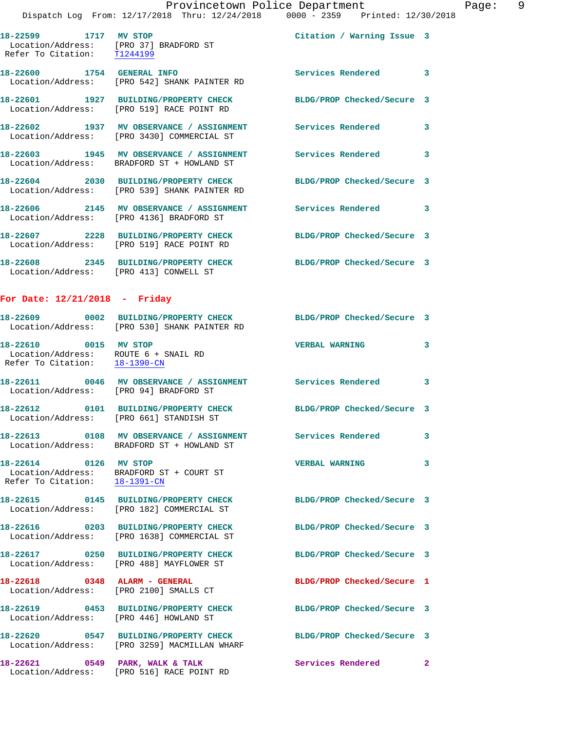Location/Address: [PRO 542] SHANK PAINTER RD **18-22601 1927 BUILDING/PROPERTY CHECK BLDG/PROP Checked/Secure 3**  Location/Address: [PRO 519] RACE POINT RD **18-22602 1937 MV OBSERVANCE / ASSIGNMENT Services Rendered 3**  Location/Address: [PRO 3430] COMMERCIAL ST **18-22603 1945 MV OBSERVANCE / ASSIGNMENT Services Rendered 3**  Location/Address: BRADFORD ST + HOWLAND ST **18-22604 2030 BUILDING/PROPERTY CHECK BLDG/PROP Checked/Secure 3**  Location/Address: [PRO 539] SHANK PAINTER RD **18-22606 2145 MV OBSERVANCE / ASSIGNMENT Services Rendered 3** 

**18-22600 1754 GENERAL INFO Services Rendered 3** 

 Location/Address: [PRO 4136] BRADFORD ST **18-22607 2228 BUILDING/PROPERTY CHECK BLDG/PROP Checked/Secure 3**  Location/Address: [PRO 519] RACE POINT RD

**18-22608 2345 BUILDING/PROPERTY CHECK BLDG/PROP Checked/Secure 3**  Location/Address: [PRO 413] CONWELL ST

## **For Date: 12/21/2018 - Friday**

|                                                                                                | 18-22609 0002 BUILDING/PROPERTY CHECK<br>Location/Address: [PRO 530] SHANK PAINTER RD                         | BLDG/PROP Checked/Secure 3 |              |
|------------------------------------------------------------------------------------------------|---------------------------------------------------------------------------------------------------------------|----------------------------|--------------|
| 18-22610 0015 MV STOP<br>Location/Address: ROUTE 6 + SNAIL RD<br>Refer To Citation: 18-1390-CN |                                                                                                               | <b>VERBAL WARNING</b>      | $\mathbf{3}$ |
| Location/Address: [PRO 94] BRADFORD ST                                                         | 18-22611 0046 MV OBSERVANCE / ASSIGNMENT Services Rendered 3                                                  |                            |              |
|                                                                                                | Location/Address: [PRO 661] STANDISH ST                                                                       | BLDG/PROP Checked/Secure 3 |              |
|                                                                                                | 18-22613 0108 MV OBSERVANCE / ASSIGNMENT Services Rendered<br>Location/Address: BRADFORD ST + HOWLAND ST      |                            | 3            |
| 18-22614 0126 MV STOP<br>Refer To Citation: 18-1391-CN                                         | Location/Address: BRADFORD ST + COURT ST                                                                      | <b>VERBAL WARNING</b>      | $\mathbf{3}$ |
|                                                                                                | 18-22615 0145 BUILDING/PROPERTY CHECK BLDG/PROP Checked/Secure 3<br>Location/Address: [PRO 182] COMMERCIAL ST |                            |              |
|                                                                                                | 18-22616 0203 BUILDING/PROPERTY CHECK<br>Location/Address: [PRO 1638] COMMERCIAL ST                           | BLDG/PROP Checked/Secure 3 |              |
|                                                                                                | 18-22617 0250 BUILDING/PROPERTY CHECK<br>Location/Address: [PRO 488] MAYFLOWER ST                             | BLDG/PROP Checked/Secure 3 |              |
| Location/Address: [PRO 2100] SMALLS CT                                                         | 18-22618 0348 ALARM - GENERAL                                                                                 | BLDG/PROP Checked/Secure 1 |              |
| Location/Address: [PRO 446] HOWLAND ST                                                         | 18-22619 0453 BUILDING/PROPERTY CHECK                                                                         | BLDG/PROP Checked/Secure 3 |              |
|                                                                                                | 18-22620 0547 BUILDING/PROPERTY CHECK<br>Location/Address: [PRO 3259] MACMILLAN WHARF                         | BLDG/PROP Checked/Secure 3 |              |
|                                                                                                | 18-22621 0549 PARK, WALK & TALK<br>Location/Address: [PRO 516] RACE POINT RD                                  | Services Rendered 2        |              |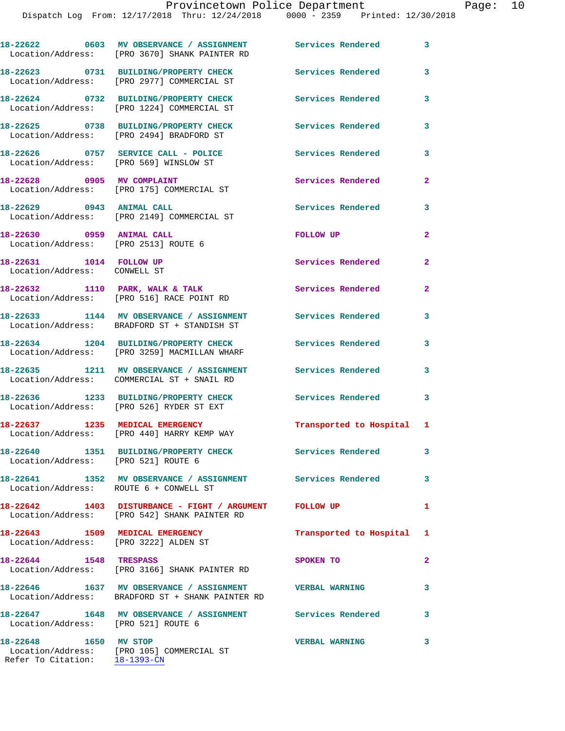|                                                                   | Location/Address: [PRO 3670] SHANK PAINTER RD                                                               |                           | 3            |
|-------------------------------------------------------------------|-------------------------------------------------------------------------------------------------------------|---------------------------|--------------|
|                                                                   | 18-22623 0731 BUILDING/PROPERTY CHECK<br>Location/Address: [PRO 2977] COMMERCIAL ST                         | <b>Services Rendered</b>  | 3            |
|                                                                   | 18-22624 0732 BUILDING/PROPERTY CHECK<br>Location/Address: [PRO 1224] COMMERCIAL ST                         | <b>Services Rendered</b>  | 3            |
|                                                                   | 18-22625 0738 BUILDING/PROPERTY CHECK<br>Location/Address: [PRO 2494] BRADFORD ST                           | <b>Services Rendered</b>  | 3            |
| Location/Address: [PRO 569] WINSLOW ST                            | 18-22626 0757 SERVICE CALL - POLICE                                                                         | Services Rendered         | 3            |
|                                                                   | 18-22628 0905 MV COMPLAINT<br>Location/Address: [PRO 175] COMMERCIAL ST                                     | <b>Services Rendered</b>  | $\mathbf{2}$ |
| 18-22629 0943 ANIMAL CALL                                         | Location/Address: [PRO 2149] COMMERCIAL ST                                                                  | <b>Services Rendered</b>  | 3            |
| 18-22630 0959 ANIMAL CALL<br>Location/Address: [PRO 2513] ROUTE 6 |                                                                                                             | FOLLOW UP                 | $\mathbf{2}$ |
| 18-22631 1014 FOLLOW UP<br>Location/Address: CONWELL ST           |                                                                                                             | Services Rendered         | $\mathbf{2}$ |
|                                                                   | 18-22632 1110 PARK, WALK & TALK<br>Location/Address: [PRO 516] RACE POINT RD                                | <b>Services Rendered</b>  | $\mathbf{2}$ |
|                                                                   | 18-22633 1144 MV OBSERVANCE / ASSIGNMENT<br>Location/Address: BRADFORD ST + STANDISH ST                     | <b>Services Rendered</b>  | 3            |
|                                                                   | 18-22634 1204 BUILDING/PROPERTY CHECK<br>Location/Address: [PRO 3259] MACMILLAN WHARF                       | <b>Services Rendered</b>  | 3            |
|                                                                   | 18-22635 1211 MV OBSERVANCE / ASSIGNMENT<br>Location/Address: COMMERCIAL ST + SNAIL RD                      | <b>Services Rendered</b>  | 3            |
|                                                                   | 18-22636 1233 BUILDING/PROPERTY CHECK<br>Location/Address: [PRO 526] RYDER ST EXT                           | <b>Services Rendered</b>  | 3            |
|                                                                   | 18-22637 1235 MEDICAL EMERGENCY<br>Location/Address: [PRO 440] HARRY KEMP WAY                               | Transported to Hospital 1 |              |
| Location/Address: [PRO 521] ROUTE 6                               | 18-22640 1351 BUILDING/PROPERTY CHECK                                                                       | Services Rendered         | 3            |
| Location/Address: ROUTE 6 + CONWELL ST                            | 18-22641 1352 MV OBSERVANCE / ASSIGNMENT Services Rendered                                                  |                           | 3            |
|                                                                   | 18-22642 1403 DISTURBANCE - FIGHT / ARGUMENT FOLLOW UP<br>Location/Address: [PRO 542] SHANK PAINTER RD      |                           | 1            |
|                                                                   | 18-22643 1509 MEDICAL EMERGENCY<br>Location/Address: [PRO 3222] ALDEN ST                                    | Transported to Hospital   | $\mathbf{1}$ |
|                                                                   | 18-22644 1548 TRESPASS<br>Location/Address: [PRO 3166] SHANK PAINTER RD                                     | SPOKEN TO                 | $\mathbf{2}$ |
|                                                                   | 18-22646 1637 MV OBSERVANCE / ASSIGNMENT VERBAL WARNING<br>Location/Address: BRADFORD ST + SHANK PAINTER RD |                           | 3            |
| Location/Address: [PRO 521] ROUTE 6                               | 18-22647 1648 MV OBSERVANCE / ASSIGNMENT Services Rendered                                                  |                           | 3            |
| 18-22648 1650 MV STOP<br>Refer To Citation: 18-1393-CN            | Location/Address: [PRO 105] COMMERCIAL ST                                                                   | <b>VERBAL WARNING</b>     | 3            |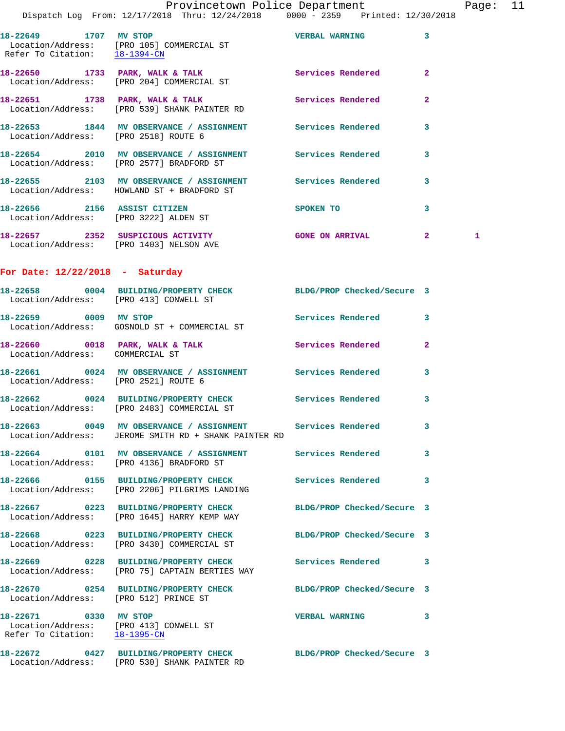| Provincetown Police Department |  |  |  |  |  |  |  |  |  |  |  |  |  |  |  |  |  |  |  |  |  |  |  |  |  |  |  |  |  |  |  |  |  |  |  |  |  |  |  |  |  |  |  |  |  |  |  |  |  |  |  |  |  |  |  |  |  |  |  |  |  |  |  |  |  |  |  |  |  |  |  |  |  |  |  |  |  |  |  |  |  |  |  |  |  |  |  |  |  |  |  |  |  |  |  |  |  |  |  |  |  |  |  |  |  |  |  |  |  |  |  |  |  |  |  |  |  |  |  |  |  |  |  |  |  |  |  |  |  |  |  |  |  |  |  |  |  |  |  |  |  |  |  |  |  |  |
|--------------------------------|--|--|--|--|--|--|--|--|--|--|--|--|--|--|--|--|--|--|--|--|--|--|--|--|--|--|--|--|--|--|--|--|--|--|--|--|--|--|--|--|--|--|--|--|--|--|--|--|--|--|--|--|--|--|--|--|--|--|--|--|--|--|--|--|--|--|--|--|--|--|--|--|--|--|--|--|--|--|--|--|--|--|--|--|--|--|--|--|--|--|--|--|--|--|--|--|--|--|--|--|--|--|--|--|--|--|--|--|--|--|--|--|--|--|--|--|--|--|--|--|--|--|--|--|--|--|--|--|--|--|--|--|--|--|--|--|--|--|--|--|--|--|--|--|--|--|
|--------------------------------|--|--|--|--|--|--|--|--|--|--|--|--|--|--|--|--|--|--|--|--|--|--|--|--|--|--|--|--|--|--|--|--|--|--|--|--|--|--|--|--|--|--|--|--|--|--|--|--|--|--|--|--|--|--|--|--|--|--|--|--|--|--|--|--|--|--|--|--|--|--|--|--|--|--|--|--|--|--|--|--|--|--|--|--|--|--|--|--|--|--|--|--|--|--|--|--|--|--|--|--|--|--|--|--|--|--|--|--|--|--|--|--|--|--|--|--|--|--|--|--|--|--|--|--|--|--|--|--|--|--|--|--|--|--|--|--|--|--|--|--|--|--|--|--|--|--|

Page: 11

 Dispatch Log From: 12/17/2018 Thru: 12/24/2018 0000 - 2359 Printed: 12/30/2018 **18-22649 1707 MV STOP VERBAL WARNING 3**  Location/Address: [PRO 105] COMMERCIAL ST Refer To Citation: 18-1394-CN **18-22650 1733 PARK, WALK & TALK Services Rendered 2**  Location/Address: [PRO 204] COMMERCIAL ST **18-22651 1738 PARK, WALK & TALK Services Rendered 2**  Location/Address: [PRO 539] SHANK PAINTER RD **18-22653 1844 MV OBSERVANCE / ASSIGNMENT Services Rendered 3**  Location/Address: [PRO 2518] ROUTE 6 **18-22654 2010 MV OBSERVANCE / ASSIGNMENT Services Rendered 3**  Location/Address: [PRO 2577] BRADFORD ST

**18-22655 2103 MV OBSERVANCE / ASSIGNMENT Services Rendered 3**  Location/Address: HOWLAND ST + BRADFORD ST **18-22656 2156 ASSIST CITIZEN SPOKEN TO 3**  Location/Address: [PRO 3222] ALDEN ST

18-22657 2352 SUSPICIOUS ACTIVITY GONE ON ARRIVAL 2 1 Location/Address: [PRO 1403] NELSON AVE

**For Date: 12/22/2018 - Saturday**

|                                 | 18-22658 0004 BUILDING/PROPERTY CHECK BLDG/PROP Checked/Secure 3<br>Location/Address: [PRO 413] CONWELL ST         |                            |                         |
|---------------------------------|--------------------------------------------------------------------------------------------------------------------|----------------------------|-------------------------|
| 18-22659 0009 MV STOP           | Location/Address: GOSNOLD ST + COMMERCIAL ST                                                                       | <b>Services Rendered</b>   | $\overline{\mathbf{3}}$ |
| Location/Address: COMMERCIAL ST | 18-22660 0018 PARK, WALK & TALK                                                                                    | Services Rendered          | $\overline{2}$          |
|                                 | 18-22661 0024 MV OBSERVANCE / ASSIGNMENT Services Rendered<br>Location/Address: [PRO 2521] ROUTE 6                 |                            | $\overline{3}$          |
|                                 | 18-22662 0024 BUILDING/PROPERTY CHECK<br>Location/Address: [PRO 2483] COMMERCIAL ST                                | <b>Services Rendered</b>   | 3                       |
|                                 | 18-22663 0049 MV OBSERVANCE / ASSIGNMENT Services Rendered<br>Location/Address: JEROME SMITH RD + SHANK PAINTER RD |                            | 3                       |
|                                 | 18-22664 0101 MV OBSERVANCE / ASSIGNMENT Services Rendered<br>Location/Address: [PRO 4136] BRADFORD ST             |                            | 3                       |
|                                 | 18-22666 0155 BUILDING/PROPERTY CHECK<br>Location/Address: [PRO 2206] PILGRIMS LANDING                             | <b>Services Rendered</b>   | $\overline{\mathbf{3}}$ |
|                                 | 18-22667 0223 BUILDING/PROPERTY CHECK BLDG/PROP Checked/Secure 3<br>Location/Address: [PRO 1645] HARRY KEMP WAY    |                            |                         |
|                                 | 18-22668 0223 BUILDING/PROPERTY CHECK<br>Location/Address: [PRO 3430] COMMERCIAL ST                                | BLDG/PROP Checked/Secure 3 |                         |
|                                 | 18-22669 0228 BUILDING/PROPERTY CHECK Services Rendered 3<br>Location/Address: [PRO 75] CAPTAIN BERTIES WAY        |                            |                         |
|                                 | 18-22670 0254 BUILDING/PROPERTY CHECK<br>Location/Address: [PRO 512] PRINCE ST                                     | BLDG/PROP Checked/Secure 3 |                         |
| Refer To Citation: 18-1395-CN   | 18-22671 0330 MV STOP<br>Location/Address: [PRO 413] CONWELL ST                                                    | <b>VERBAL WARNING</b>      | 3                       |

**18-22672 0427 BUILDING/PROPERTY CHECK BLDG/PROP Checked/Secure 3** 

Location/Address: [PRO 530] SHANK PAINTER RD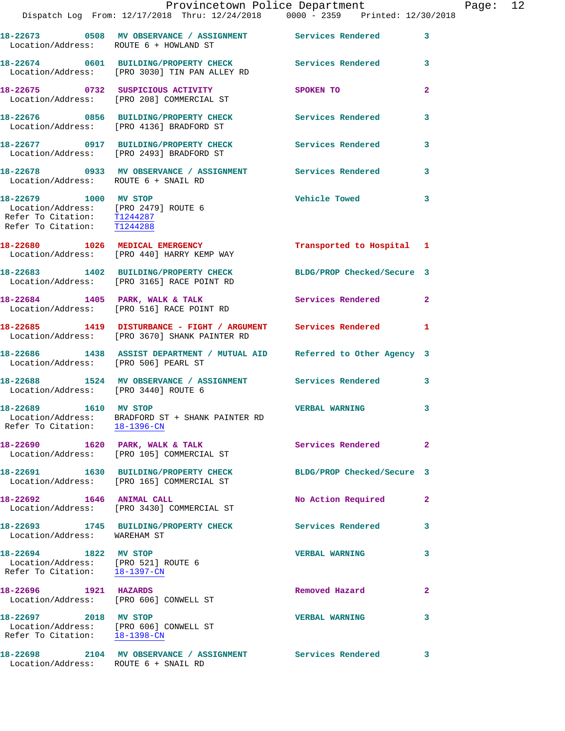|                                                                                                                             | Provincetown Police Department<br>Dispatch Log From: 12/17/2018 Thru: 12/24/2018 0000 - 2359 Printed: 12/30/2018 |                            |                         |
|-----------------------------------------------------------------------------------------------------------------------------|------------------------------------------------------------------------------------------------------------------|----------------------------|-------------------------|
| Location/Address: ROUTE 6 + HOWLAND ST                                                                                      | 18-22673 0508 MV OBSERVANCE / ASSIGNMENT Services Rendered                                                       |                            | 3                       |
|                                                                                                                             | 18-22674 0601 BUILDING/PROPERTY CHECK Services Rendered<br>Location/Address: [PRO 3030] TIN PAN ALLEY RD         |                            | 3                       |
|                                                                                                                             | 18-22675 0732 SUSPICIOUS ACTIVITY<br>Location/Address: [PRO 208] COMMERCIAL ST                                   | SPOKEN TO                  | $\overline{\mathbf{2}}$ |
|                                                                                                                             | 18-22676 0856 BUILDING/PROPERTY CHECK<br>Location/Address: [PRO 4136] BRADFORD ST                                | <b>Services Rendered</b>   | 3                       |
|                                                                                                                             | 18-22677 0917 BUILDING/PROPERTY CHECK<br>Location/Address: [PRO 2493] BRADFORD ST                                | <b>Services Rendered</b>   | 3                       |
| Location/Address: ROUTE 6 + SNAIL RD                                                                                        | 18-22678 0933 MV OBSERVANCE / ASSIGNMENT Services Rendered                                                       |                            | 3                       |
| 18-22679 1000 MV STOP<br>Location/Address: [PRO 2479] ROUTE 6<br>Refer To Citation: T1244287<br>Refer To Citation: T1244288 |                                                                                                                  | <b>Vehicle Towed</b>       | 3                       |
|                                                                                                                             | 18-22680 1026 MEDICAL EMERGENCY<br>Location/Address: [PRO 440] HARRY KEMP WAY                                    | Transported to Hospital    | 1                       |
| 18-22683                                                                                                                    | 1402 BUILDING/PROPERTY CHECK<br>Location/Address: [PRO 3165] RACE POINT RD                                       | BLDG/PROP Checked/Secure 3 |                         |
|                                                                                                                             | 18-22684 1405 PARK, WALK & TALK<br>Location/Address: [PRO 516] RACE POINT RD                                     | Services Rendered          | $\mathbf{2}$            |
|                                                                                                                             | 18-22685 1419 DISTURBANCE - FIGHT / ARGUMENT Services Rendered<br>Location/Address: [PRO 3670] SHANK PAINTER RD  |                            | 1                       |
| Location/Address: [PRO 506] PEARL ST                                                                                        | 18-22686 1438 ASSIST DEPARTMENT / MUTUAL AID Referred to Other Agency 3                                          |                            |                         |
| Location/Address: [PRO 3440] ROUTE 6                                                                                        | 18-22688 1524 MV OBSERVANCE / ASSIGNMENT Services Rendered                                                       |                            | 3                       |
| 18-22689<br>1610 MV STOP<br>Refer To Citation: 18-1396-CN                                                                   | Location/Address: BRADFORD ST + SHANK PAINTER RD                                                                 | <b>VERBAL WARNING</b>      | 3                       |
| 18-22690                                                                                                                    | 1620 PARK, WALK & TALK<br>Location/Address: [PRO 105] COMMERCIAL ST                                              | Services Rendered          | $\mathbf{2}$            |
|                                                                                                                             | 18-22691 1630 BUILDING/PROPERTY CHECK<br>Location/Address: [PRO 165] COMMERCIAL ST                               | BLDG/PROP Checked/Secure 3 |                         |
| 18-22692 1646 ANIMAL CALL                                                                                                   | Location/Address: [PRO 3430] COMMERCIAL ST                                                                       | No Action Required         | 2                       |
| Location/Address: WAREHAM ST                                                                                                |                                                                                                                  | Services Rendered          | 3                       |
| 18-22694 1822 MV STOP<br>Location/Address: [PRO 521] ROUTE 6<br>Refer To Citation: 18-1397-CN                               |                                                                                                                  | <b>VERBAL WARNING</b>      | 3                       |
| 18-22696 1921 HAZARDS<br>Location/Address: [PRO 606] CONWELL ST                                                             |                                                                                                                  | Removed Hazard             | $\mathbf{2}$            |
| 18-22697 2018 MV STOP<br>Location/Address: [PRO 606] CONWELL ST<br>Refer To Citation:                                       | 18-1398-CN                                                                                                       | <b>VERBAL WARNING</b>      | 3                       |
| 18-22698                                                                                                                    | 2104 MV OBSERVANCE / ASSIGNMENT                                                                                  | Services Rendered          | 3                       |

Location/Address: ROUTE 6 + SNAIL RD

Page:  $12$ <sup>8</sup>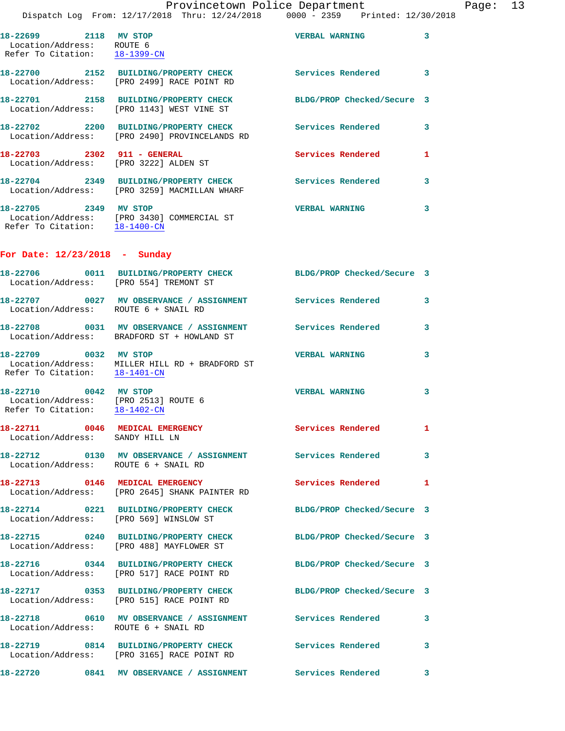|                                                                                                | $D13PQCDII$ $D0q$ $I1UIII$ , $I2/I1/Z010$ $IIIIU$ , $I2/I37/Z010$                                          | $\cup$ $\cup$ $\cup$       |              |
|------------------------------------------------------------------------------------------------|------------------------------------------------------------------------------------------------------------|----------------------------|--------------|
| 18-22699 2118 MV STOP<br>Location/Address: ROUTE 6<br>Refer To Citation: 18-1399-CN            |                                                                                                            | <b>VERBAL WARNING</b>      | 3            |
|                                                                                                | 18-22700 2152 BUILDING/PROPERTY CHECK<br>Location/Address: [PRO 2499] RACE POINT RD                        | Services Rendered 3        |              |
|                                                                                                | 18-22701 2158 BUILDING/PROPERTY CHECK<br>Location/Address: [PRO 1143] WEST VINE ST                         | BLDG/PROP Checked/Secure 3 |              |
|                                                                                                | 18-22702 2200 BUILDING/PROPERTY CHECK<br>Location/Address: [PRO 2490] PROVINCELANDS RD                     | Services Rendered          | 3            |
| 18-22703 2302 911 - GENERAL                                                                    | Location/Address: [PRO 3222] ALDEN ST                                                                      | Services Rendered          | 1            |
|                                                                                                | 18-22704 2349 BUILDING/PROPERTY CHECK<br>Location/Address: [PRO 3259] MACMILLAN WHARF                      | Services Rendered          | 3            |
| 18-22705 2349 MV STOP                                                                          | Location/Address: [PRO 3430] COMMERCIAL ST<br>Refer To Citation: 18-1400-CN                                | <b>VERBAL WARNING</b>      | 3            |
| For Date: 12/23/2018 - Sunday                                                                  |                                                                                                            |                            |              |
|                                                                                                | 18-22706 0011 BUILDING/PROPERTY CHECK BLDG/PROP Checked/Secure 3<br>Location/Address: [PRO 554] TREMONT ST |                            |              |
|                                                                                                | 18-22707 0027 MV OBSERVANCE / ASSIGNMENT Services Rendered<br>Location/Address: ROUTE 6 + SNAIL RD         |                            | $\mathbf{3}$ |
|                                                                                                | 18-22708 0031 MV OBSERVANCE / ASSIGNMENT Services Rendered<br>Location/Address: BRADFORD ST + HOWLAND ST   |                            | 3            |
| 18-22709 0032 MV STOP<br>Refer To Citation: 18-1401-CN                                         | Location/Address: MILLER HILL RD + BRADFORD ST                                                             | <b>VERBAL WARNING</b>      | 3            |
| 18-22710 0042 MV STOP<br>Location/Address: [PRO 2513] ROUTE 6<br>Refer To Citation: 18-1402-CN |                                                                                                            | <b>VERBAL WARNING</b>      | 3            |
| 18-22711<br>Location/Address: SANDY HILL LN                                                    | 0046 MEDICAL EMERGENCY                                                                                     | Services Rendered          | ı,           |
|                                                                                                | 18-22712 0130 MV OBSERVANCE / ASSIGNMENT Services Rendered<br>Location/Address: ROUTE 6 + SNAIL RD         |                            | $\mathbf{3}$ |
|                                                                                                | 18-22713 0146 MEDICAL EMERGENCY<br>Location/Address: [PRO 2645] SHANK PAINTER RD                           | Services Rendered 1        |              |
|                                                                                                | 18-22714 0221 BUILDING/PROPERTY CHECK<br>Location/Address: [PRO 569] WINSLOW ST                            | BLDG/PROP Checked/Secure 3 |              |
|                                                                                                | 18-22715 0240 BUILDING/PROPERTY CHECK<br>Location/Address: [PRO 488] MAYFLOWER ST                          | BLDG/PROP Checked/Secure 3 |              |
|                                                                                                | 18-22716 0344 BUILDING/PROPERTY CHECK<br>Location/Address: [PRO 517] RACE POINT RD                         | BLDG/PROP Checked/Secure 3 |              |
|                                                                                                | 18-22717 0353 BUILDING/PROPERTY CHECK<br>Location/Address: [PRO 515] RACE POINT RD                         | BLDG/PROP Checked/Secure 3 |              |
|                                                                                                | 18-22718 0610 MV OBSERVANCE / ASSIGNMENT Services Rendered<br>Location/Address: ROUTE 6 + SNAIL RD         |                            | 3            |
|                                                                                                | 18-22719 0814 BUILDING/PROPERTY CHECK<br>Location/Address: [PRO 3165] RACE POINT RD                        | <b>Services Rendered</b>   | 3            |
|                                                                                                | 18-22720 0841 MV OBSERVANCE / ASSIGNMENT Services Rendered                                                 |                            | $\mathbf{3}$ |
|                                                                                                |                                                                                                            |                            |              |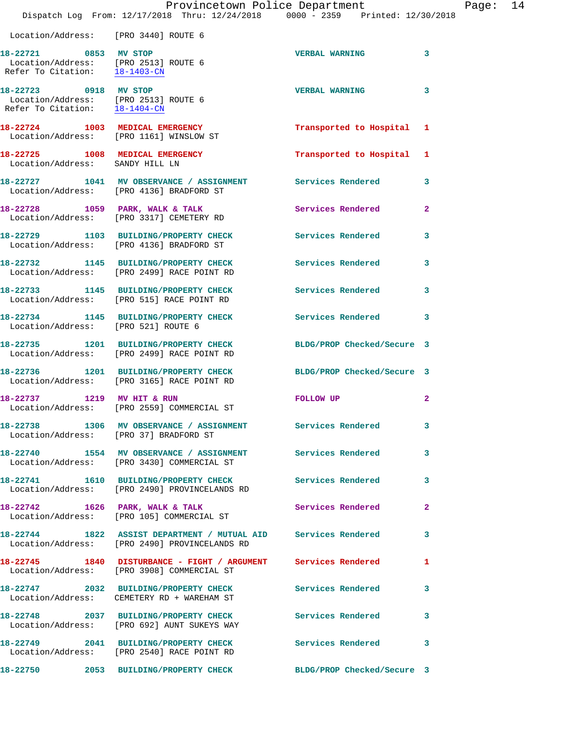|                                                                                                                     | Dispatch Log From: 12/17/2018 Thru: 12/24/2018 0000 - 2359 Printed: 12/30/2018                                  | Provincetown Police Department |                | Page: 14 |  |
|---------------------------------------------------------------------------------------------------------------------|-----------------------------------------------------------------------------------------------------------------|--------------------------------|----------------|----------|--|
| Location/Address: [PRO 3440] ROUTE 6                                                                                |                                                                                                                 |                                |                |          |  |
| 18-22721 0853 MV STOP<br>Location/Address: [PRO 2513] ROUTE 6<br>Refer To Citation: $\frac{18-1403-CN}{18-1403-CN}$ |                                                                                                                 | VERBAL WARNING 3               |                |          |  |
| 18-22723 0918 MV STOP<br>Location/Address: [PRO 2513] ROUTE 6<br>Refer To Citation: 18-1404-CN                      |                                                                                                                 | <b>VERBAL WARNING</b>          | 3              |          |  |
|                                                                                                                     | 18-22724 1003 MEDICAL EMERGENCY<br>Location/Address: [PRO 1161] WINSLOW ST                                      | Transported to Hospital 1      |                |          |  |
| Location/Address: SANDY HILL LN                                                                                     | 18-22725 1008 MEDICAL EMERGENCY                                                                                 | Transported to Hospital 1      |                |          |  |
|                                                                                                                     | 18-22727 1041 MV OBSERVANCE / ASSIGNMENT Services Rendered<br>Location/Address: [PRO 4136] BRADFORD ST          |                                | 3              |          |  |
|                                                                                                                     | 18-22728 1059 PARK, WALK & TALK 1999 Services Rendered<br>Location/Address: [PRO 3317] CEMETERY RD              |                                | $\overline{2}$ |          |  |
|                                                                                                                     | 18-22729 1103 BUILDING/PROPERTY CHECK Services Rendered<br>Location/Address: [PRO 4136] BRADFORD ST             |                                | 3              |          |  |
|                                                                                                                     | 18-22732 1145 BUILDING/PROPERTY CHECK Services Rendered<br>Location/Address: [PRO 2499] RACE POINT RD           |                                | 3              |          |  |
|                                                                                                                     | 18-22733 1145 BUILDING/PROPERTY CHECK Services Rendered<br>Location/Address: [PRO 515] RACE POINT RD            |                                | 3              |          |  |
| Location/Address: [PRO 521] ROUTE 6                                                                                 | 18-22734 1145 BUILDING/PROPERTY CHECK Services Rendered                                                         |                                | $\mathbf{3}$   |          |  |
|                                                                                                                     | 18-22735 1201 BUILDING/PROPERTY CHECK<br>Location/Address: [PRO 2499] RACE POINT RD                             | BLDG/PROP Checked/Secure 3     |                |          |  |
|                                                                                                                     | 18-22736 1201 BUILDING/PROPERTY CHECK BLDG/PROP Checked/Secure 3<br>Location/Address: [PRO 3165] RACE POINT RD  |                                |                |          |  |
|                                                                                                                     | 18-22737 1219 MV HIT & RUN<br>Location/Address: [PRO 2559] COMMERCIAL ST                                        | <b>FOLLOW UP</b>               | 2              |          |  |
| Location/Address: [PRO 37] BRADFORD ST                                                                              | 18-22738                1306     MV  OBSERVANCE  /  ASSIGNMENT                   Services  Rendered             |                                | 3              |          |  |
|                                                                                                                     | 18-22740 1554 MV OBSERVANCE / ASSIGNMENT Services Rendered<br>Location/Address: [PRO 3430] COMMERCIAL ST        |                                | 3              |          |  |
|                                                                                                                     | 18-22741 1610 BUILDING/PROPERTY CHECK Services Rendered<br>Location/Address: [PRO 2490] PROVINCELANDS RD        |                                | $\mathbf{3}$   |          |  |
|                                                                                                                     | 18-22742 1626 PARK, WALK & TALK<br>Location/Address: [PRO 105] COMMERCIAL ST                                    | <b>Services Rendered</b>       | $\mathbf{2}$   |          |  |
|                                                                                                                     | 18-22744 1822 ASSIST DEPARTMENT / MUTUAL AID Services Rendered<br>Location/Address: [PRO 2490] PROVINCELANDS RD |                                | 3              |          |  |
|                                                                                                                     | 18-22745 1840 DISTURBANCE - FIGHT / ARGUMENT<br>Location/Address: [PRO 3908] COMMERCIAL ST                      | <b>Services Rendered</b>       | 1              |          |  |
|                                                                                                                     | 18-22747 2032 BUILDING/PROPERTY CHECK<br>Location/Address: CEMETERY RD + WAREHAM ST                             | Services Rendered              | 3              |          |  |
|                                                                                                                     | 18-22748 2037 BUILDING/PROPERTY CHECK<br>Location/Address: [PRO 692] AUNT SUKEYS WAY                            | Services Rendered              | 3              |          |  |
|                                                                                                                     | 18-22749 2041 BUILDING/PROPERTY CHECK<br>Location/Address: [PRO 2540] RACE POINT RD                             | Services Rendered              | 3              |          |  |
|                                                                                                                     |                                                                                                                 | BLDG/PROP Checked/Secure 3     |                |          |  |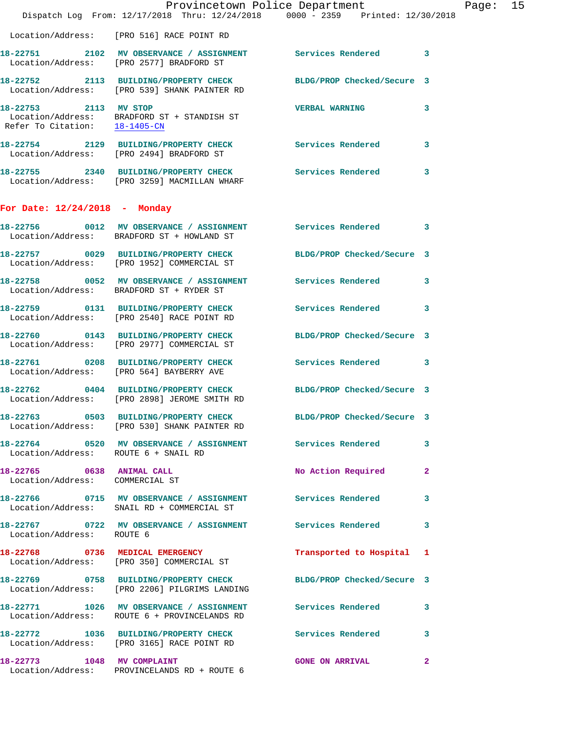|                                                              | Provincetown Police Department<br>Dispatch Log From: 12/17/2018 Thru: 12/24/2018 0000 - 2359 Printed: 12/30/2018  |                            |              |
|--------------------------------------------------------------|-------------------------------------------------------------------------------------------------------------------|----------------------------|--------------|
|                                                              | Location/Address: [PRO 516] RACE POINT RD                                                                         |                            |              |
|                                                              | 18-22751 2102 MV OBSERVANCE / ASSIGNMENT Services Rendered<br>Location/Address: [PRO 2577] BRADFORD ST            |                            | 3            |
|                                                              | 18-22752 2113 BUILDING/PROPERTY CHECK BLDG/PROP Checked/Secure 3<br>Location/Address: [PRO 539] SHANK PAINTER RD  |                            |              |
| 18-22753 2113 MV STOP                                        | Location/Address: BRADFORD ST + STANDISH ST<br>Refer To Citation: $\frac{18-1405-CN}{\sqrt{16}}$                  | <b>VERBAL WARNING</b>      | 3            |
|                                                              | 18-22754 2129 BUILDING/PROPERTY CHECK Services Rendered<br>Location/Address: [PRO 2494] BRADFORD ST               |                            | 3            |
|                                                              | 18-22755 2340 BUILDING/PROPERTY CHECK Services Rendered<br>Location/Address: [PRO 3259] MACMILLAN WHARF           |                            | 3            |
| For Date: $12/24/2018$ - Monday                              |                                                                                                                   |                            |              |
|                                                              | 18-22756 0012 MV OBSERVANCE / ASSIGNMENT Services Rendered<br>Location/Address: BRADFORD ST + HOWLAND ST          |                            | 3            |
|                                                              | 18-22757 0029 BUILDING/PROPERTY CHECK<br>Location/Address: [PRO 1952] COMMERCIAL ST                               | BLDG/PROP Checked/Secure 3 |              |
|                                                              | 18-22758 0052 MV OBSERVANCE / ASSIGNMENT Services Rendered<br>Location/Address: BRADFORD ST + RYDER ST            |                            | 3            |
|                                                              | 18-22759 0131 BUILDING/PROPERTY CHECK<br>Location/Address: [PRO 2540] RACE POINT RD                               | <b>Services Rendered</b>   | 3            |
|                                                              | 18-22760 0143 BUILDING/PROPERTY CHECK<br>Location/Address: [PRO 2977] COMMERCIAL ST                               | BLDG/PROP Checked/Secure 3 |              |
|                                                              | 18-22761 0208 BUILDING/PROPERTY CHECK<br>Location/Address: [PRO 564] BAYBERRY AVE                                 | Services Rendered          | 3            |
|                                                              | 18-22762 0404 BUILDING/PROPERTY CHECK BLDG/PROP Checked/Secure 3<br>Location/Address: [PRO 2898] JEROME SMITH RD  |                            |              |
|                                                              | 18-22763 0503 BUILDING/PROPERTY CHECK BLDG/PROP Checked/Secure 3<br>Location/Address: [PRO 530] SHANK PAINTER RD  |                            |              |
| Location/Address: ROUTE 6 + SNAIL RD                         | 18-22764 0520 MV OBSERVANCE / ASSIGNMENT Services Rendered                                                        |                            | 3            |
| 18-22765 0638 ANIMAL CALL<br>Location/Address: COMMERCIAL ST |                                                                                                                   | No Action Required         | $\mathbf{2}$ |
|                                                              | 18-22766 60715 MV OBSERVANCE / ASSIGNMENT Services Rendered<br>Location/Address: SNAIL RD + COMMERCIAL ST         |                            | 3            |
| Location/Address: ROUTE 6                                    | 18-22767 0722 MV OBSERVANCE / ASSIGNMENT Services Rendered                                                        |                            | 3            |
|                                                              | 18-22768 0736 MEDICAL EMERGENCY<br>Location/Address: [PRO 350] COMMERCIAL ST                                      | Transported to Hospital 1  |              |
|                                                              | 18-22769 0758 BUILDING/PROPERTY CHECK BLDG/PROP Checked/Secure 3<br>Location/Address: [PRO 2206] PILGRIMS LANDING |                            |              |
|                                                              | 18-22771 1026 MV OBSERVANCE / ASSIGNMENT Services Rendered<br>Location/Address: ROUTE 6 + PROVINCELANDS RD        |                            | 3            |
|                                                              | 18-22772 1036 BUILDING/PROPERTY CHECK Services Rendered<br>Location/Address: [PRO 3165] RACE POINT RD             |                            | 3            |
| 18-22773 1048 MV COMPLAINT                                   | Location/Address: PROVINCELANDS RD + ROUTE 6                                                                      | <b>GONE ON ARRIVAL</b>     | $\mathbf{2}$ |

Page: 15